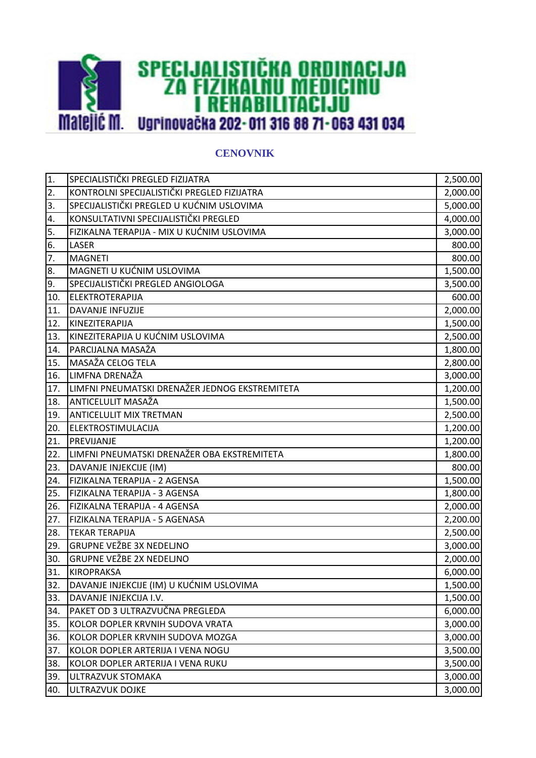

## **CENOVNIK**

| 1.               | SPECIALISTIČKI PREGLED FIZIJATRA               | 2,500.00 |
|------------------|------------------------------------------------|----------|
| 2.               | KONTROLNI SPECIJALISTIČKI PREGLED FIZIJATRA    | 2,000.00 |
| 3.               | SPECIJALISTIČKI PREGLED U KUĆNIM USLOVIMA      | 5,000.00 |
| $\overline{4}$ . | KONSULTATIVNI SPECIJALISTIČKI PREGLED          | 4,000.00 |
| 5.               | FIZIKALNA TERAPIJA - MIX U KUĆNIM USLOVIMA     | 3,000.00 |
| 6.               | <b>LASER</b>                                   | 800.00   |
| 7.               | <b>MAGNETI</b>                                 | 800.00   |
| 8.               | MAGNETI U KUĆNIM USLOVIMA                      | 1,500.00 |
| 9.               | SPECIJALISTIČKI PREGLED ANGIOLOGA              | 3,500.00 |
| 10.              | ELEKTROTERAPIJA                                | 600.00   |
| 11.              | DAVANJE INFUZIJE                               | 2,000.00 |
| 12.              | KINEZITERAPIJA                                 | 1,500.00 |
| 13.              | KINEZITERAPIJA U KUĆNIM USLOVIMA               | 2,500.00 |
| 14.              | PARCIJALNA MASAŽA                              | 1,800.00 |
| 15.              | MASAŽA CELOG TELA                              | 2,800.00 |
| 16.              | LIMFNA DRENAŽA                                 | 3,000.00 |
| 17.              | LIMFNI PNEUMATSKI DRENAŽER JEDNOG EKSTREMITETA | 1,200.00 |
| 18.              | <b>ANTICELULIT MASAŽA</b>                      | 1,500.00 |
| 19.              | <b>ANTICELULIT MIX TRETMAN</b>                 | 2,500.00 |
| 20.              | ELEKTROSTIMULACIJA                             | 1,200.00 |
| 21.              | PREVIJANJE                                     | 1,200.00 |
| 22.              | LIMFNI PNEUMATSKI DRENAŽER OBA EKSTREMITETA    | 1,800.00 |
| 23.              | DAVANJE INJEKCIJE (IM)                         | 800.00   |
| 24.              | FIZIKALNA TERAPIJA - 2 AGENSA                  | 1,500.00 |
| 25.              | FIZIKALNA TERAPIJA - 3 AGENSA                  | 1,800.00 |
| 26.              | FIZIKALNA TERAPIJA - 4 AGENSA                  | 2,000.00 |
| 27.              | FIZIKALNA TERAPIJA - 5 AGENASA                 | 2,200.00 |
| 28.              | <b>TEKAR TERAPIJA</b>                          | 2,500.00 |
| 29.              | <b>GRUPNE VEŽBE 3X NEDELJNO</b>                | 3,000.00 |
| 30.              | <b>GRUPNE VEŽBE 2X NEDELJNO</b>                | 2,000.00 |
| 31.              | <b>KIROPRAKSA</b>                              | 6,000.00 |
| 32.              | DAVANJE INJEKCIJE (IM) U KUĆNIM USLOVIMA       | 1,500.00 |
| 33.              | DAVANJE INJEKCIJA I.V.                         | 1,500.00 |
| 34.              |                                                |          |
| 35.              | PAKET OD 3 ULTRAZVUČNA PREGLEDA                | 6,000.00 |
|                  | KOLOR DOPLER KRVNIH SUDOVA VRATA               | 3,000.00 |
| 36.              | KOLOR DOPLER KRVNIH SUDOVA MOZGA               | 3,000.00 |
| 37.              | KOLOR DOPLER ARTERIJA I VENA NOGU              | 3,500.00 |
| 38.              | KOLOR DOPLER ARTERIJA I VENA RUKU              | 3,500.00 |
| 39.              | ULTRAZVUK STOMAKA                              | 3,000.00 |